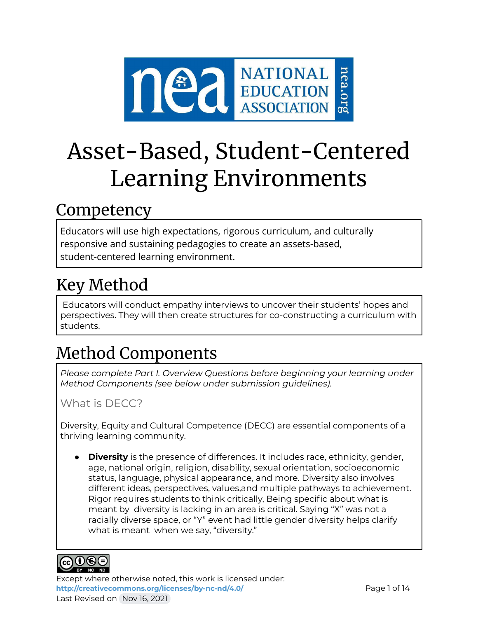

# Asset-Based, Student-Centered Learning Environments

## Competency

Educators will use high expectations, rigorous curriculum, and culturally responsive and sustaining pedagogies to create an assets-based, student-centered learning environment.

## Key Method

Educators will conduct empathy interviews to uncover their students' hopes and perspectives. They will then create structures for co-constructing a curriculum with students.

## Method Components

*Please complete Part I. Overview Questions before beginning your learning under Method Components (see below under submission guidelines).*

What is DECC?

Diversity, Equity and Cultural Competence (DECC) are essential components of a thriving learning community.

● **Diversity** is the presence of differences. It includes race, ethnicity, gender, age, national origin, religion, disability, sexual orientation, socioeconomic status, language, physical appearance, and more. Diversity also involves different ideas, perspectives, values,and multiple pathways to achievement. Rigor requires students to think critically, Being specific about what is meant by diversity is lacking in an area is critical. Saying "X" was not a racially diverse space, or "Y" event had little gender diversity helps clarify what is meant when we say, "diversity."



Except where otherwise noted, this work is licensed under: <http://creativecommons.org/licenses/by-nc-nd/4.0/> **Page 1 of 14** Last Revised on Nov 16, 2021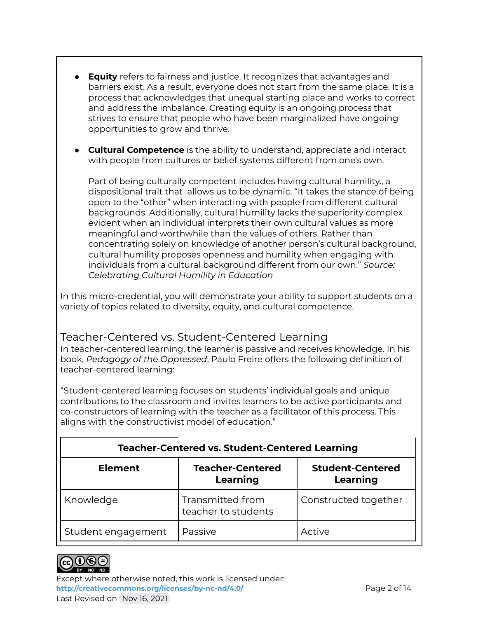- **Equity** refers to fairness and justice. It recognizes that advantages and barriers exist. As a result, everyone does not start from the same place. It is a process that acknowledges that unequal starting place and works to correct and address the imbalance. Creating equity is an ongoing process that strives to ensure that people who have been marginalized have ongoing opportunities to grow and thrive.
- **Cultural Competence** is the ability to understand, appreciate and interact with people from cultures or belief systems different from one's own.

Part of being culturally competent includes having cultural humility., a dispositional trait that allows us to be dynamic. "It takes the stance of being open to the "other" when interacting with people from different cultural backgrounds. Additionally, cultural humility lacks the superiority complex evident when an individual interprets their own cultural values as more meaningful and worthwhile than the values of others. Rather than concentrating solely on knowledge of another person's cultural background, cultural humility proposes openness and humility when engaging with individuals from a cultural background different from our own." *Source: Celebrating Cultural Humility in Education*

In this micro-credential, you will demonstrate your ability to support students on a variety of topics related to diversity, equity, and cultural competence.

## Teacher-Centered vs. Student-Centered Learning

In teacher-centered learning, the learner is passive and receives knowledge. In his book, *Pedagogy of the Oppressed*, Paulo Freire offers the following definition of teacher-centered learning:

"Student-centered learning focuses on students' individual goals and unique contributions to the classroom and invites learners to be active participants and co-constructors of learning with the teacher as a facilitator of this process. This aligns with the constructivist model of education."

| <b>Teacher-Centered vs. Student-Centered Learning</b> |                                         |                      |  |  |
|-------------------------------------------------------|-----------------------------------------|----------------------|--|--|
| <b>Element</b>                                        | <b>Teacher-Centered</b><br>Learning     |                      |  |  |
| Knowledge                                             | Transmitted from<br>teacher to students | Constructed together |  |  |
| Student engagement                                    | Passive                                 | Active               |  |  |



Except where otherwise noted, this work is licensed under: **<http://creativecommons.org/licenses/by-nc-nd/4.0/>** Page 2 of 14 Last Revised on Nov 16, 2021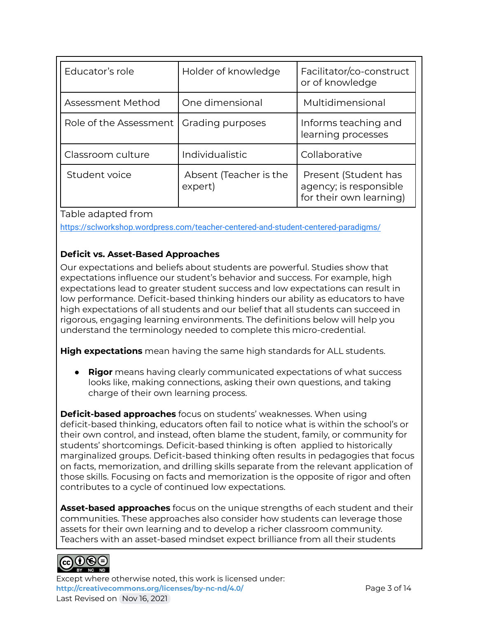| Educator's role        | Holder of knowledge               | Facilitator/co-construct<br>or of knowledge                               |
|------------------------|-----------------------------------|---------------------------------------------------------------------------|
| Assessment Method      | One dimensional                   | Multidimensional                                                          |
| Role of the Assessment | Grading purposes                  | Informs teaching and<br>learning processes                                |
| Classroom culture      | Individualistic                   | Collaborative                                                             |
| Student voice          | Absent (Teacher is the<br>expert) | Present (Student has<br>agency; is responsible<br>for their own learning) |

Table adapted from

<https://sclworkshop.wordpress.com/teacher-centered-and-student-centered-paradigms/>

#### **Deficit vs. Asset-Based Approaches**

Our expectations and beliefs about students are powerful. Studies show that expectations influence our student's behavior and success. For example, high expectations lead to greater student success and low expectations can result in low performance. Deficit-based thinking hinders our ability as educators to have high expectations of all students and our belief that all students can succeed in rigorous, engaging learning environments. The definitions below will help you understand the terminology needed to complete this micro-credential.

**High expectations** mean having the same high standards for ALL students.

● **Rigor** means having clearly communicated expectations of what success looks like, making connections, asking their own questions, and taking charge of their own learning process.

**Deficit-based approaches** focus on students' weaknesses. When using deficit-based thinking, educators often fail to notice what is within the school's or their own control, and instead, often blame the student, family, or community for students' shortcomings. Deficit-based thinking is often applied to historically marginalized groups. Deficit-based thinking often results in pedagogies that focus on facts, memorization, and drilling skills separate from the relevant application of those skills. Focusing on facts and memorization is the opposite of rigor and often contributes to a cycle of continued low expectations.

**Asset-based approaches** focus on the unique strengths of each student and their communities. These approaches also consider how students can leverage those assets for their own learning and to develop a richer classroom community. Teachers with an asset-based mindset expect brilliance from all their students



Except where otherwise noted, this work is licensed under: **<http://creativecommons.org/licenses/by-nc-nd/4.0/>** Page 3 of 14 Last Revised on Nov 16, 2021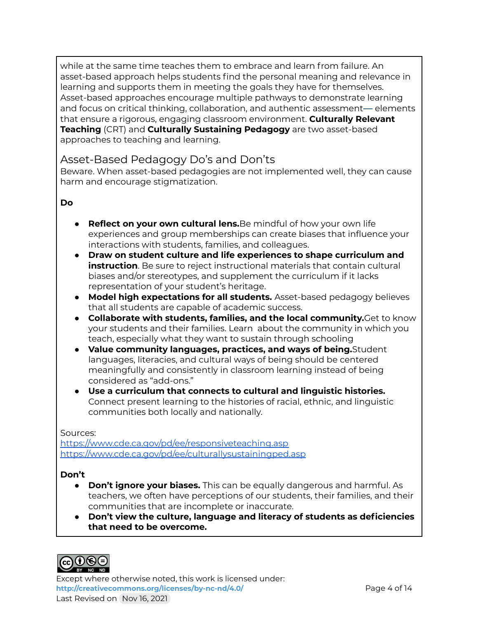while at the same time teaches them to embrace and learn from failure. An asset-based approach helps students find the personal meaning and relevance in learning and supports them in meeting the goals they have for themselves. Asset-based approaches encourage multiple pathways to demonstrate learning and focus on critical thinking, collaboration, and authentic assessment— elements that ensure a rigorous, engaging classroom environment. **Culturally Relevant Teaching** (CRT) and **Culturally Sustaining Pedagogy** are two asset-based approaches to teaching and learning.

## Asset-Based Pedagogy Do's and Don'ts

Beware. When asset-based pedagogies are not implemented well, they can cause harm and encourage stigmatization.

#### **Do**

- **Reflect on your own cultural lens.**Be mindful of how your own life experiences and group memberships can create biases that influence your interactions with students, families, and colleagues.
- **Draw on student culture and life experiences to shape curriculum and instruction**. Be sure to reject instructional materials that contain cultural biases and/or stereotypes, and supplement the curriculum if it lacks representation of your student's heritage.
- **● Model high expectations for all students.** Asset-based pedagogy believes that all students are capable of academic success.
- **Collaborate with students, families, and the local community.**Get to know your students and their families. Learn about the community in which you teach, especially what they want to sustain through schooling
- **Value community languages, practices, and ways of being.**Student languages, literacies, and cultural ways of being should be centered meaningfully and consistently in classroom learning instead of being considered as "add-ons."
- **Use a curriculum that connects to cultural and linguistic histories.** Connect present learning to the histories of racial, ethnic, and linguistic communities both locally and nationally.

#### Sources:

<https://www.cde.ca.gov/pd/ee/responsiveteaching.asp> <https://www.cde.ca.gov/pd/ee/culturallysustainingped.asp>

#### **Don't**

- **Don't ignore your biases.** This can be equally dangerous and harmful. As teachers, we often have perceptions of our students, their families, and their communities that are incomplete or inaccurate.
- **● Don't view the culture, language and literacy of students as deficiencies that need to be overcome.**



Except where otherwise noted, this work is licensed under: <http://creativecommons.org/licenses/by-nc-nd/4.0/> **Page 4 of 14** Last Revised on Nov 16, 2021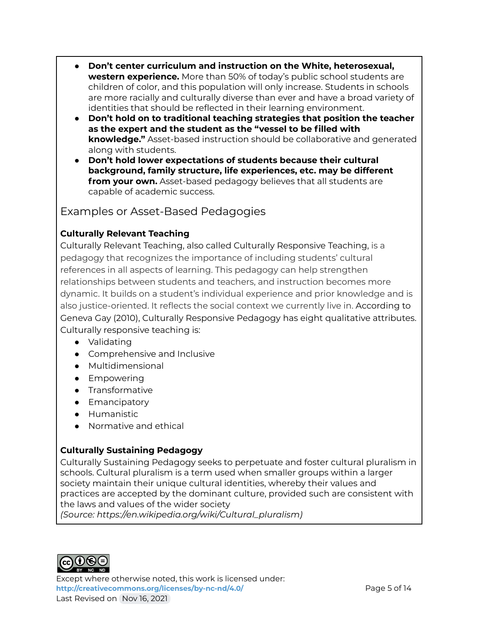- **Don't center curriculum and instruction on the White, heterosexual, western experience.** More than 50% of today's public school students are children of color, and this population will only increase. Students in schools are more racially and culturally diverse than ever and have a broad variety of identities that should be reflected in their learning environment.
- **Don't hold on to traditional teaching strategies that position the teacher as the expert and the student as the "vessel to be filled with knowledge."** Asset-based instruction should be collaborative and generated along with students.
- **Don't hold lower expectations of students because their cultural background, family structure, life experiences, etc. may be different from your own.** Asset-based pedagogy believes that all students are capable of academic success.

Examples or Asset-Based Pedagogies

### **Culturally Relevant Teaching**

Culturally Relevant Teaching, also called Culturally Responsive Teaching, is a pedagogy that recognizes the importance of including students' cultural references in all aspects of learning. This pedagogy can help strengthen relationships between students and teachers, and instruction becomes more dynamic. It builds on a student's individual experience and prior knowledge and is also justice-oriented. It reflects the social context we currently live in. According to Geneva Gay (2010), Culturally Responsive Pedagogy has eight qualitative attributes. Culturally responsive teaching is:

- Validating
- Comprehensive and Inclusive
- Multidimensional
- Empowering
- Transformative
- Emancipatory
- Humanistic
- Normative and ethical

#### **Culturally Sustaining Pedagogy**

Culturally Sustaining Pedagogy seeks to perpetuate and foster cultural pluralism in schools. Cultural pluralism is a term used when smaller groups within a larger society maintain their unique cultural identities, whereby their values and practices are accepted by the dominant culture, provided such are consistent with the laws and values of the wider society

*(Source: https:/ en.wikipedia.org/wiki/Cultural\_pluralism)*



Except where otherwise noted, this work is licensed under: **<http://creativecommons.org/licenses/by-nc-nd/4.0/>** Page 5 of 14 Last Revised on Nov 16, 2021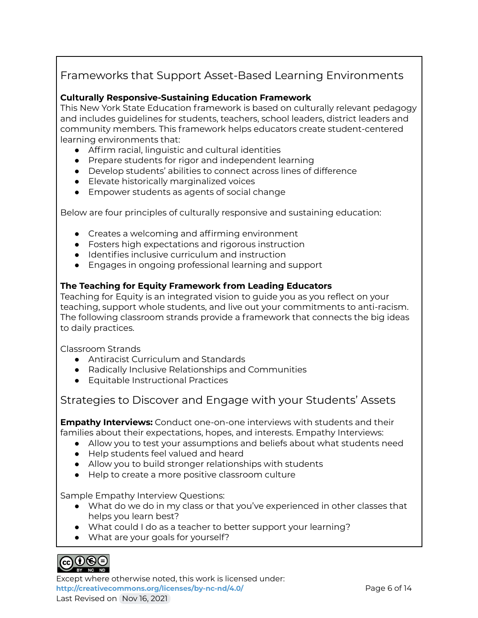## Frameworks that Support Asset-Based Learning Environments

#### **Culturally Responsive-Sustaining Education Framework**

This New York State Education framework is based on culturally relevant pedagogy and includes guidelines for students, teachers, school leaders, district leaders and community members. This framework helps educators create student-centered learning environments that:

- Affirm racial, linguistic and cultural identities
- Prepare students for rigor and independent learning
- Develop students' abilities to connect across lines of difference
- Elevate historically marginalized voices
- Empower students as agents of social change

Below are four principles of culturally responsive and sustaining education:

- Creates a welcoming and affirming environment
- Fosters high expectations and rigorous instruction
- Identifies inclusive curriculum and instruction
- Engages in ongoing professional learning and support

#### **The Teaching for Equity Framework from Leading Educators**

Teaching for Equity is an integrated vision to guide you as you reflect on your teaching, support whole students, and live out your commitments to anti-racism. The following classroom strands provide a framework that connects the big ideas to daily practices.

Classroom Strands

- Antiracist Curriculum and Standards
- Radically Inclusive Relationships and Communities
- Equitable Instructional Practices

Strategies to Discover and Engage with your Students' Assets

**Empathy Interviews:** Conduct one-on-one interviews with students and their families about their expectations, hopes, and interests. Empathy Interviews:

- Allow you to test your assumptions and beliefs about what students need
- Help students feel valued and heard
- Allow you to build stronger relationships with students
- Help to create a more positive classroom culture

Sample Empathy Interview Questions:

- What do we do in my class or that you've experienced in other classes that helps you learn best?
- What could I do as a teacher to better support your learning?
- What are your goals for yourself?



Except where otherwise noted, this work is licensed under: **<http://creativecommons.org/licenses/by-nc-nd/4.0/>** Page 6 of 14 Last Revised on Nov 16, 2021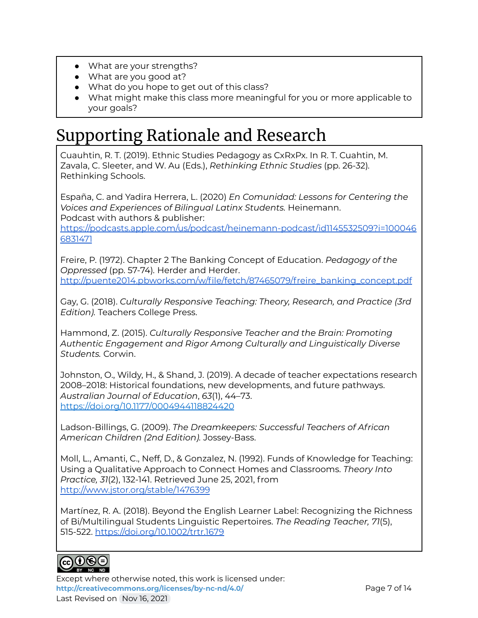- What are your strengths?
- What are you good at?
- What do you hope to get out of this class?
- What might make this class more meaningful for you or more applicable to your goals?

## Supporting Rationale and Research

Cuauhtin, R. T. (2019). Ethnic Studies Pedagogy as CxRxPx. In R. T. Cuahtin, M. Zavala, C. Sleeter, and W. Au (Eds.), *Rethinking Ethnic Studies* (pp. 26-32)*.* Rethinking Schools.

España, C. and Yadira Herrera, L. (2020) *En Comunidad: Lessons for Centering the Voices and Experiences of Bilingual Latinx Students.* Heinemann. Podcast with authors & publisher:

[https://podcasts.apple.com/us/podcast/heinemann-podcast/id1145532509?i=100046](https://podcasts.apple.com/us/podcast/heinemann-podcast/id1145532509?i=1000466831471) [6831471](https://podcasts.apple.com/us/podcast/heinemann-podcast/id1145532509?i=1000466831471)

Freire, P. (1972). Chapter 2 The Banking Concept of Education. *Pedagogy of the Oppressed* (pp. 57-74)*.* Herder and Herder. [http://puente2014.pbworks.com/w/file/fetch/87465079/freire\\_banking\\_concept.pdf](http://puente2014.pbworks.com/w/file/fetch/87465079/freire_banking_concept.pdf)

Gay, G. (2018). *Culturally Responsive Teaching: Theory, Research, and Practice (3rd Edition).* Teachers College Press.

Hammond, Z. (2015). *Culturally Responsive Teacher and the Brain: Promoting Authentic Engagement and Rigor Among Culturally and Linguistically Diverse Students.* Corwin.

Johnston, O., Wildy, H., & Shand, J. (2019). A decade of teacher expectations research 2008–2018: Historical foundations, new developments, and future pathways. *Australian Journal of Education*, *63*(1), 44–73. <https://doi.org/10.1177/0004944118824420>

Ladson-Billings, G. (2009). *The Dreamkeepers: Successful Teachers of African American Children (2nd Edition).* Jossey-Bass.

Moll, L., Amanti, C., Neff, D., & Gonzalez, N. (1992). Funds of Knowledge for Teaching: Using a Qualitative Approach to Connect Homes and Classrooms. *Theory Into Practice, 31*(2), 132-141. Retrieved June 25, 2021, from <http://www.jstor.org/stable/1476399>

Martínez, R. A. (2018). Beyond the English Learner Label: Recognizing the Richness of Bi/Multilingual Students Linguistic Repertoires. *The Reading Teacher, 71*(5), 515-522. <https://doi.org/10.1002/trtr.1679>



Except where otherwise noted, this work is licensed under: **<http://creativecommons.org/licenses/by-nc-nd/4.0/>** Page 7 of 14 Last Revised on Nov 16, 2021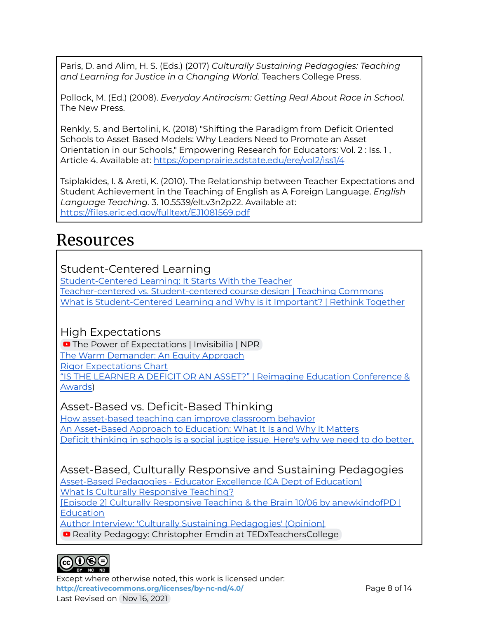Paris, D. and Alim, H. S. (Eds.) (2017) *Culturally Sustaining Pedagogies: Teaching and Learning for Justice in a Changing World.* Teachers College Press.

Pollock, M. (Ed.) (2008). *Everyday Antiracism: Getting Real About Race in School.* The New Press.

Renkly, S. and Bertolini, K. (2018) "Shifting the Paradigm from Deficit Oriented Schools to Asset Based Models: Why Leaders Need to Promote an Asset Orientation in our Schools," Empowering Research for Educators: Vol. 2 : Iss. 1 , Article 4. Available at: <https://openprairie.sdstate.edu/ere/vol2/iss1/4>

Tsiplakides, I. & Areti, K. (2010). The Relationship between Teacher Expectations and Student Achievement in the Teaching of English as A Foreign Language. *English Language Teaching.* 3. 10.5539/elt.v3n2p22. Available at: <https://files.eric.ed.gov/fulltext/EJ1081569.pdf>

## Resources

## Student-Centered Learning

[Student-Centered](https://www.edutopia.org/blog/student-centered-learning-starts-with-teacher-john-mccarthy) Learning: It Starts With the Teacher Teacher-centered vs. [Student-centered](https://teachingcommons.stanford.edu/explore-teaching-guides/online-teaching-guide/theory-practice/teacher-centered-vs-student-centered) course design | Teaching Commons What is [Student-Centered](https://xqsuperschool.org/rethinktogether/what-is-student-centered-learning/) Learning and Why is it Important? | Rethink Together

## High Expectations

**O** The Power of [Expectations](https://www.youtube.com/watch?v=hbhwlRRW_3o) | Invisibilia | NPR The Warm [Demander:](https://www.edutopia.org/blog/warm-demander-equity-approach-matt-alexander) An Equity Approach Rigor [Expectations](https://www.gvsu.edu/cms4/asset/AF5F8044-C1CA-D385-2E8007C14930B056/rigorexpectationschart.pdf) Chart "IS THE LEARNER A DEFICIT OR AN ASSET?" | Reimagine Education [Conference](https://www.reimagine-education.com/is-the-learner-a-deficit-or-an-asset/) & [Awards\)](https://www.reimagine-education.com/is-the-learner-a-deficit-or-an-asset/)

## Asset-Based vs. Deficit-Based Thinking

How [asset-based](https://www.classcraft.com/blog/asset-based-teaching/) teaching can improve classroom behavior An [Asset-Based](https://teachereducation.steinhardt.nyu.edu/an-asset-based-approach-to-education-what-it-is-and-why-it-matters/) Approach to Education: What It Is and Why It Matters Deficit [thinking](https://www.lessonsforsel.com/post/deficit-thinking-in-schools-is-a-social-justice-issue-here-s-why-we-need-to-do-better) in schools is a social justice issue. Here's why we need to do better.

## Asset-Based, Culturally Responsive and Sustaining Pedagogies

[Asset-Based](https://www.cde.ca.gov/pd/ee/assetbasedpedagogies.asp) Pedagogies - Educator Excellence (CA Dept of Education) What Is Culturally [Responsive](https://www.understood.org/articles/en/what-is-culturally-responsive-teaching) Teaching?

[Episode 2] Culturally Responsive Teaching & the Brain 10/06 by [anewkindofPD](https://www.blogtalkradio.com/anewkindofpd/2016/10/06/episode-2-culturally-responsive-teaching-the-brain) | **[Education](https://www.blogtalkradio.com/anewkindofpd/2016/10/06/episode-2-culturally-responsive-teaching-the-brain)** 

Author Interview: 'Culturally Sustaining [Pedagogies'](https://www.edweek.org/teaching-learning/opinion-author-interview-culturally-sustaining-pedagogies/2017/07) (Opinion)

**Reality Pedagogy: Christopher Emdin at [TEDxTeachersCollege](https://www.youtube.com/watch?v=2Y9tVf_8fqo)** 



Except where otherwise noted, this work is licensed under: <http://creativecommons.org/licenses/by-nc-nd/4.0/><br>
Page 8 of 14 Last Revised on Nov 16, 2021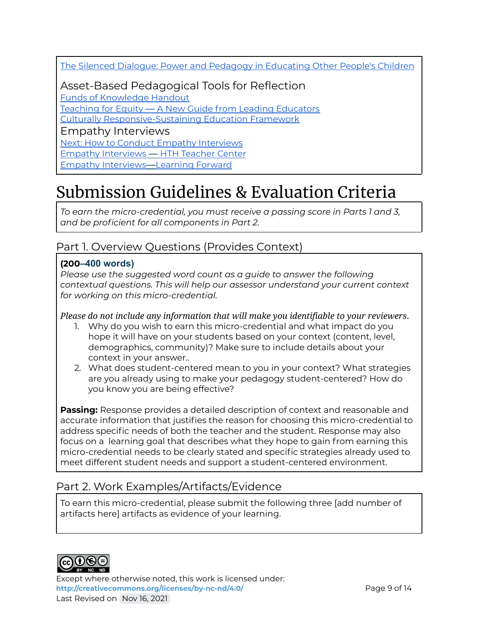The Silenced Dialogue: Power and Pedagogy in [Educating](https://www.evergreen.edu/sites/default/files/writingcenter/docs/cvii/Delpit%20The%20Silenced%20Dialogue.pdf) Other People's Children

Asset-Based Pedagogical Tools for Reflection

Funds of [Knowledge](https://modules.nceln.fpg.unc.edu/sites/modules.nceln.fpg.unc.edu/files/foundations/handouts/Mod%204%20Funds%20of%20knowledge.pdf) Handout

Teaching for Equity — A New Guide from Leading [Educators](https://drive.google.com/file/d/1iZ0YI_Qh79GInq8M3x5QAEnBU5yA8XvO/view?usp=sharing)

Culturally [Responsive-Sustaining](http://www.nysed.gov/common/nysed/files/programs/crs/culturally-responsive-sustaining-education-framework.pdf) Education Framework

Empathy Interviews

Next: How to Conduct Empathy [Interviews](https://www.zionandzion.com/how-to-conduct-empathy-interviews/)

Empathy [Interviews](https://www.hightechhigh.org/teachercenter/change-packages/empathy-interviews/) — HTH Teacher Center

Empathy [Interviews](https://learningforward.org/wp-content/uploads/2020/10/tool-empathy-interviews.pdf)—Learning Forward

## Submission Guidelines & Evaluation Criteria

*To earn the micro-credential, you must receive a passing score in Parts 1 and 3, and be proficient for all components in Part 2.*

## Part 1. Overview Questions (Provides Context)

### **(200–400 words)**

*Please use the suggested word count as a guide to answer the following contextual questions. This will help our assessor understand your current context for working on this micro-credential.*

*Please do not include any information that will make you identifiable to your reviewers*.

- 1. Why do you wish to earn this micro-credential and what impact do you hope it will have on your students based on your context (content, level, demographics, community)? Make sure to include details about your context in your answer..
- 2. What does student-centered mean to you in your context? What strategies are you already using to make your pedagogy student-centered? How do you know you are being effective?

**Passing:** Response provides a detailed description of context and reasonable and accurate information that justifies the reason for choosing this micro-credential to address specific needs of both the teacher and the student. Response may also focus on a learning goal that describes what they hope to gain from earning this micro-credential needs to be clearly stated and specific strategies already used to meet different student needs and support a student-centered environment.

## Part 2. Work Examples/Artifacts/Evidence

To earn this micro-credential, please submit the following three [add number of artifacts here] artifacts as evidence of your learning.



Except where otherwise noted, this work is licensed under: <http://creativecommons.org/licenses/by-nc-nd/4.0/><br>
Page 9 of 14 Last Revised on Nov 16, 2021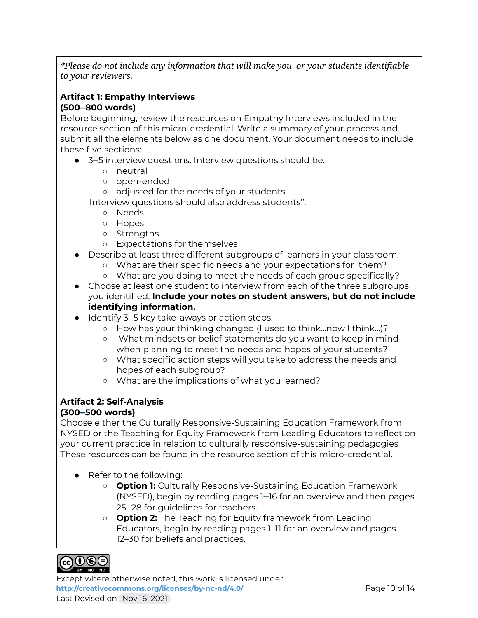*\*Please do not include any information that will make you or your students identifiable to your reviewers.*

### **Artifact 1: Empathy Interviews (500–800 words)**

Before beginning, review the resources on Empathy Interviews included in the resource section of this micro-credential. Write a summary of your process and submit all the elements below as one document. Your document needs to include these five sections:

- 3–5 interview questions. Interview questions should be:
	- neutral
	- open-ended
	- adjusted for the needs of your students

Interview questions should also address students'':

- Needs
- Hopes
- Strengths
- Expectations for themselves
- Describe at least three different subgroups of learners in your classroom.
	- What are their specific needs and your expectations for them?
	- What are you doing to meet the needs of each group specifically?
- Choose at least one student to interview from each of the three subgroups you identified. **Include your notes on student answers, but do not include identifying information.**
- Identify 3–5 key take-aways or action steps.
	- *○* How has your thinking changed (I used to think...now I think…)?
	- *○* What mindsets or belief statements do you want to keep in mind when planning to meet the needs and hopes of your students?
	- *○* What specific action steps will you take to address the needs and hopes of each subgroup?
	- *○* What are the implications of what you learned?

### **Artifact 2: Self-Analysis**

#### **(300–500 words)**

Choose either the Culturally Responsive-Sustaining Education Framework from NYSED or the Teaching for Equity Framework from Leading Educators to reflect on your current practice in relation to culturally responsive-sustaining pedagogies These resources can be found in the resource section of this micro-credential.

- Refer to the following:
	- **Option 1:** Culturally Responsive-Sustaining Education Framework (NYSED), begin by reading pages 1–16 for an overview and then pages 25–28 for guidelines for teachers.
	- **Option 2:** The Teaching for Equity framework from Leading Educators, begin by reading pages 1–11 for an overview and pages 12–30 for beliefs and practices.



Except where otherwise noted, this work is licensed under: <http://creativecommons.org/licenses/by-nc-nd/4.0/><br>
Page 10 of 14 Last Revised on Nov 16, 2021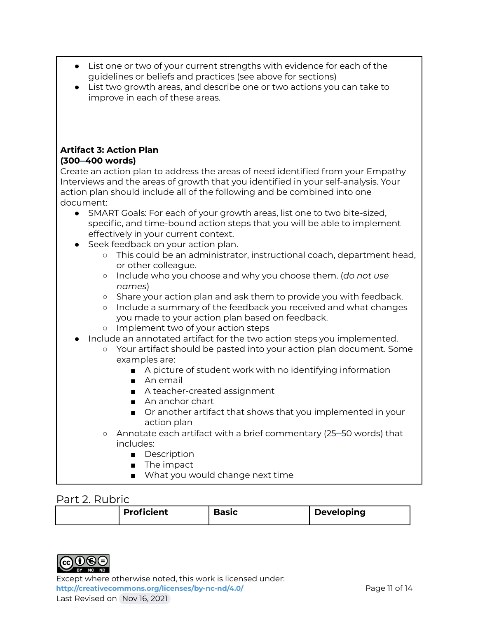- List one or two of your current strengths with evidence for each of the guidelines or beliefs and practices (see above for sections)
- List two growth areas, and describe one or two actions you can take to improve in each of these areas.

#### **Artifact 3: Action Plan (300–400 words)**

Create an action plan to address the areas of need identified from your Empathy Interviews and the areas of growth that you identified in your self-analysis. Your action plan should include all of the following and be combined into one document:

- SMART Goals: For each of your growth areas, list one to two bite-sized, specific, and time-bound action steps that you will be able to implement effectively in your current context.
- Seek feedback on your action plan.
	- This could be an administrator, instructional coach, department head, or other colleague.
	- Include who you choose and why you choose them. (*do not use names*)
	- Share your action plan and ask them to provide you with feedback.
	- Include a summary of the feedback you received and what changes you made to your action plan based on feedback.
	- Implement two of your action steps
- Include an annotated artifact for the two action steps you implemented.
	- Your artifact should be pasted into your action plan document. Some examples are:
		- A picture of student work with no identifying information
			- An email
			- A teacher-created assignment
			- An anchor chart
		- Or another artifact that shows that you implemented in your action plan
	- Annotate each artifact with a brief commentary (25–50 words) that includes:
		- Description
		- The impact
		- What you would change next time

## Part 2. Rubric

| <b>Proficient</b> | <b>Basic</b> | <b>Developing</b> |
|-------------------|--------------|-------------------|
|-------------------|--------------|-------------------|



Except where otherwise noted, this work is licensed under: <http://creativecommons.org/licenses/by-nc-nd/4.0/><br>Page 11 of 14 Last Revised on Nov 16, 2021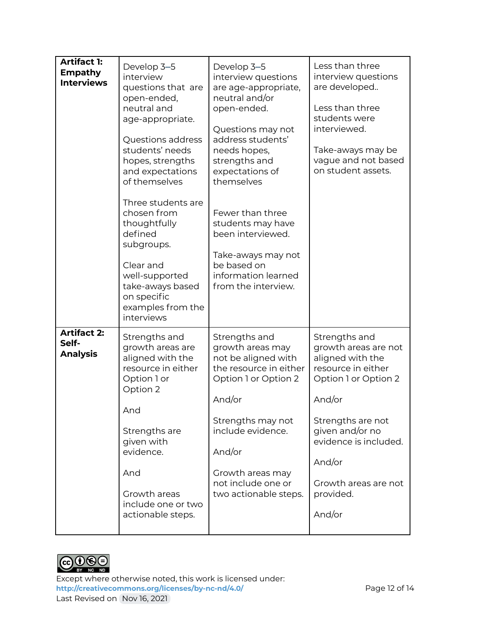| <b>Artifact 1:</b><br><b>Empathy</b><br><b>Interviews</b> | Develop 3-5<br>interview<br>questions that are<br>open-ended,<br>neutral and<br>age-appropriate.<br>Questions address<br>students' needs<br>hopes, strengths<br>and expectations<br>of themselves<br>Three students are<br>chosen from<br>thoughtfully<br>defined<br>subgroups.<br>Clear and<br>well-supported<br>take-aways based<br>on specific<br>examples from the<br>interviews | Develop 3-5<br>interview questions<br>are age-appropriate,<br>neutral and/or<br>open-ended.<br>Questions may not<br>address students'<br>needs hopes,<br>strengths and<br>expectations of<br>themselves<br>Fewer than three<br>students may have<br>been interviewed.<br>Take-aways may not<br>be based on<br>information learned<br>from the interview. | Less than three<br>interview questions<br>are developed<br>Less than three<br>students were<br>interviewed.<br>Take-aways may be<br>vague and not based<br>on student assets.                                                               |
|-----------------------------------------------------------|--------------------------------------------------------------------------------------------------------------------------------------------------------------------------------------------------------------------------------------------------------------------------------------------------------------------------------------------------------------------------------------|----------------------------------------------------------------------------------------------------------------------------------------------------------------------------------------------------------------------------------------------------------------------------------------------------------------------------------------------------------|---------------------------------------------------------------------------------------------------------------------------------------------------------------------------------------------------------------------------------------------|
| <b>Artifact 2:</b><br>Self-<br><b>Analysis</b>            | Strengths and<br>growth areas are<br>aligned with the<br>resource in either<br>Option 1 or<br>Option 2<br>And<br>Strengths are<br>given with<br>evidence.<br>And<br>Growth areas<br>include one or two<br>actionable steps.                                                                                                                                                          | Strengths and<br>growth areas may<br>not be aligned with<br>the resource in either<br>Option 1 or Option 2<br>And/or<br>Strengths may not<br>include evidence.<br>And/or<br>Growth areas may<br>not include one or<br>two actionable steps.                                                                                                              | Strengths and<br>growth areas are not<br>aligned with the<br>resource in either<br>Option 1 or Option 2<br>And/or<br>Strengths are not<br>given and/or no<br>evidence is included.<br>And/or<br>Growth areas are not<br>provided.<br>And/or |



Except where otherwise noted, this work is licensed under: <http://creativecommons.org/licenses/by-nc-nd/4.0/><br>
Page 12 of 14 Last Revised on Nov 16, 2021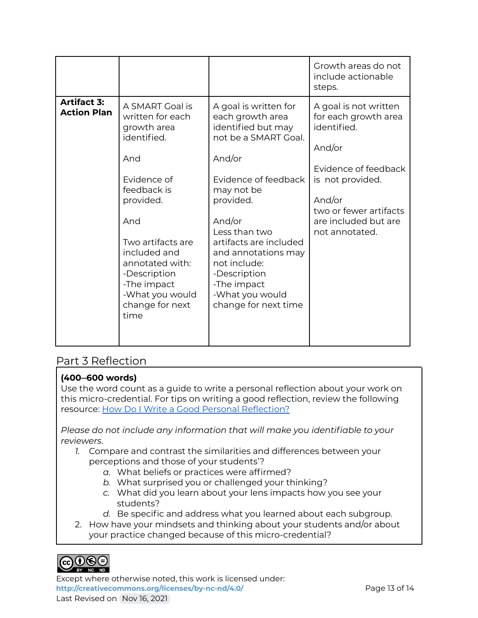|                                          |                                                                                                                                                                                                                                                                 |                                                                                                                                                                                                                                                                                                                            | Growth areas do not<br>include actionable<br>steps.                                                                                                                                              |
|------------------------------------------|-----------------------------------------------------------------------------------------------------------------------------------------------------------------------------------------------------------------------------------------------------------------|----------------------------------------------------------------------------------------------------------------------------------------------------------------------------------------------------------------------------------------------------------------------------------------------------------------------------|--------------------------------------------------------------------------------------------------------------------------------------------------------------------------------------------------|
| <b>Artifact 3:</b><br><b>Action Plan</b> | A SMART Goal is<br>written for each<br>growth area<br>identified.<br>And<br>Evidence of<br>feedback is<br>provided.<br>And<br>Two artifacts are<br>included and<br>annotated with:<br>-Description<br>-The impact<br>-What you would<br>change for next<br>time | A goal is written for<br>each growth area<br>identified but may<br>not be a SMART Goal.<br>And/or<br>Evidence of feedback<br>may not be<br>provided.<br>And/or<br>Less than two<br>artifacts are included<br>and annotations may<br>not include:<br>-Description<br>-The impact<br>-What you would<br>change for next time | A goal is not written<br>for each growth area<br>identified.<br>And/or<br>Evidence of feedback<br>is not provided.<br>And/or<br>two or fewer artifacts<br>are included but are<br>not annotated. |

## Part 3 Reflection

#### **(400–600 words)**

Use the word count as a guide to write a personal reflection about your work on this micro-credential. For tips on writing a good reflection, review the following resource: How Do I Write a Good Personal [Reflection?](https://isthismystory.com/learning/how-do-i-write-a-good-personal-reflection/)

*Please do not include any information that will make you identifiable to your reviewers*.

- *1.* Compare and contrast the similarities and differences between your perceptions and those of your students'?
	- *a.* What beliefs or practices were affirmed?
	- *b.* What surprised you or challenged your thinking?
	- *c.* What did you learn about your lens impacts how you see your students?
	- *d.* Be specific and address what you learned about each subgroup.
- 2. How have your mindsets and thinking about your students and/or about your practice changed because of this micro-credential?



Except where otherwise noted, this work is licensed under: <http://creativecommons.org/licenses/by-nc-nd/4.0/><br>Page 13 of 14 Last Revised on Nov 16, 2021